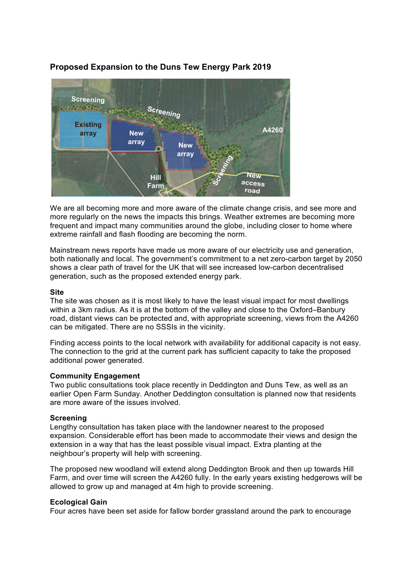### Screening **Existing array New array Screening Screening New access road New array Hill Farm A4260**

# **Proposed Expansion to the Duns Tew Energy Park 2019**

We are all becoming more and more aware of the climate change crisis, and see more and more regularly on the news the impacts this brings. Weather extremes are becoming more frequent and impact many communities around the globe, including closer to home where extreme rainfall and flash flooding are becoming the norm.

Mainstream news reports have made us more aware of our electricity use and generation, both nationally and local. The government's commitment to a net zero-carbon target by 2050 shows a clear path of travel for the UK that will see increased low-carbon decentralised generation, such as the proposed extended energy park.

# **Site**

The site was chosen as it is most likely to have the least visual impact for most dwellings within a 3km radius. As it is at the bottom of the valley and close to the Oxford–Banbury road, distant views can be protected and, with appropriate screening, views from the A4260 can be mitigated. There are no SSSIs in the vicinity.

Finding access points to the local network with availability for additional capacity is not easy. The connection to the grid at the current park has sufficient capacity to take the proposed additional power generated.

# **Community Engagement**

Two public consultations took place recently in Deddington and Duns Tew, as well as an earlier Open Farm Sunday. Another Deddington consultation is planned now that residents are more aware of the issues involved.

# **Screening**

Lengthy consultation has taken place with the landowner nearest to the proposed expansion. Considerable effort has been made to accommodate their views and design the extension in a way that has the least possible visual impact. Extra planting at the neighbour's property will help with screening.

The proposed new woodland will extend along Deddington Brook and then up towards Hill Farm, and over time will screen the A4260 fully. In the early years existing hedgerows will be allowed to grow up and managed at 4m high to provide screening.

# **Ecological Gain**

Four acres have been set aside for fallow border grassland around the park to encourage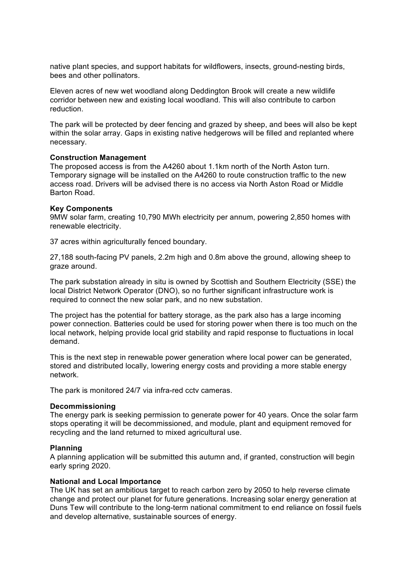native plant species, and support habitats for wildflowers, insects, ground-nesting birds, bees and other pollinators.

Eleven acres of new wet woodland along Deddington Brook will create a new wildlife corridor between new and existing local woodland. This will also contribute to carbon reduction.

The park will be protected by deer fencing and grazed by sheep, and bees will also be kept within the solar array. Gaps in existing native hedgerows will be filled and replanted where necessary.

### **Construction Management**

The proposed access is from the A4260 about 1.1km north of the North Aston turn. Temporary signage will be installed on the A4260 to route construction traffic to the new access road. Drivers will be advised there is no access via North Aston Road or Middle Barton Road.

### **Key Components**

9MW solar farm, creating 10,790 MWh electricity per annum, powering 2,850 homes with renewable electricity.

37 acres within agriculturally fenced boundary.

27,188 south-facing PV panels, 2.2m high and 0.8m above the ground, allowing sheep to graze around.

The park substation already in situ is owned by Scottish and Southern Electricity (SSE) the local District Network Operator (DNO), so no further significant infrastructure work is required to connect the new solar park, and no new substation.

The project has the potential for battery storage, as the park also has a large incoming power connection. Batteries could be used for storing power when there is too much on the local network, helping provide local grid stability and rapid response to fluctuations in local demand.

This is the next step in renewable power generation where local power can be generated, stored and distributed locally, lowering energy costs and providing a more stable energy network.

The park is monitored 24/7 via infra-red cctv cameras.

#### **Decommissioning**

The energy park is seeking permission to generate power for 40 years. Once the solar farm stops operating it will be decommissioned, and module, plant and equipment removed for recycling and the land returned to mixed agricultural use.

#### **Planning**

A planning application will be submitted this autumn and, if granted, construction will begin early spring 2020.

# **National and Local Importance**

The UK has set an ambitious target to reach carbon zero by 2050 to help reverse climate change and protect our planet for future generations. Increasing solar energy generation at Duns Tew will contribute to the long-term national commitment to end reliance on fossil fuels and develop alternative, sustainable sources of energy.